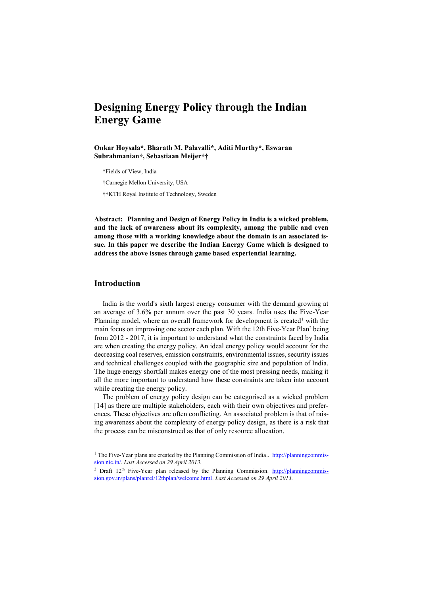# **Designing Energy Policy through the Indian Energy Game**

**Onkar Hoysala\*, Bharath M. Palavalli\*, Aditi Murthy\*, Eswaran Subrahmanian†, Sebastiaan Meijer††**

\*Fields of View, India

†Carnegie Mellon University, USA

††KTH Royal Institute of Technology, Sweden

**Abstract: Planning and Design of Energy Policy in India is a wicked problem, and the lack of awareness about its complexity, among the public and even among those with a working knowledge about the domain is an associated issue. In this paper we describe the Indian Energy Game which is designed to address the above issues through game based experiential learning.**

#### **Introduction**

 $\overline{a}$ 

India is the world's sixth largest energy consumer with the demand growing at an average of 3.6% per annum over the past 30 years. India uses the Five-Year Planning model, where an overall framework for development is created<sup>1</sup> with the main focus on improving one sector each plan. With the 12th Five-Year Plan<sup>2</sup> being from 2012 - 2017, it is important to understand what the constraints faced by India are when creating the energy policy. An ideal energy policy would account for the decreasing coal reserves, emission constraints, environmental issues, security issues and technical challenges coupled with the geographic size and population of India. The huge energy shortfall makes energy one of the most pressing needs, making it all the more important to understand how these constraints are taken into account while creating the energy policy.

The problem of energy policy design can be categorised as a wicked problem [14] as there are multiple stakeholders, each with their own objectives and preferences. These objectives are often conflicting. An associated problem is that of raising awareness about the complexity of energy policy design, as there is a risk that the process can be misconstrued as that of only resource allocation.

<sup>&</sup>lt;sup>1</sup> The Five-Year plans are created by the Planning Commission of India.. [http://planningcommis](http://planningcommission.nic.in/)[sion.nic.in/.](http://planningcommission.nic.in/) *Last Accessed on 29 April 2013.*

<sup>&</sup>lt;sup>2</sup> Draft 12<sup>th</sup> Five-Year plan released by the Planning Commission. [http://planningcommis](http://planningcommission.gov.in/plans/planrel/12thplan/welcome.html)[sion.gov.in/plans/planrel/12thplan/welcome.html.](http://planningcommission.gov.in/plans/planrel/12thplan/welcome.html) *Last Accessed on 29 April 2013.*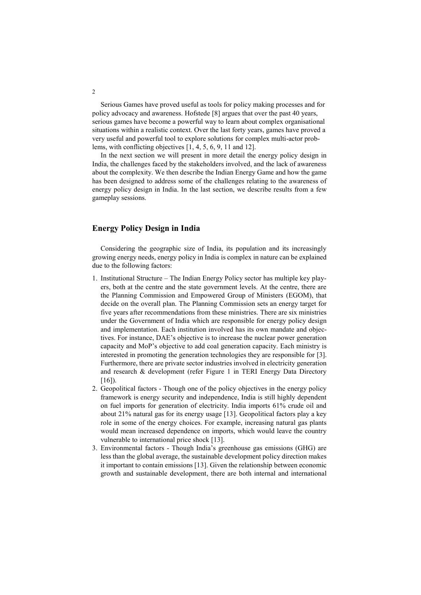Serious Games have proved useful as tools for policy making processes and for policy advocacy and awareness. Hofstede [8] argues that over the past 40 years, serious games have become a powerful way to learn about complex organisational situations within a realistic context. Over the last forty years, games have proved a very useful and powerful tool to explore solutions for complex multi-actor problems, with conflicting objectives [1, 4, 5, 6, 9, 11 and 12].

In the next section we will present in more detail the energy policy design in India, the challenges faced by the stakeholders involved, and the lack of awareness about the complexity. We then describe the Indian Energy Game and how the game has been designed to address some of the challenges relating to the awareness of energy policy design in India. In the last section, we describe results from a few gameplay sessions.

# **Energy Policy Design in India**

Considering the geographic size of India, its population and its increasingly growing energy needs, energy policy in India is complex in nature can be explained due to the following factors:

- 1. Institutional Structure The Indian Energy Policy sector has multiple key players, both at the centre and the state government levels. At the centre, there are the Planning Commission and Empowered Group of Ministers (EGOM), that decide on the overall plan. The Planning Commission sets an energy target for five years after recommendations from these ministries. There are six ministries under the Government of India which are responsible for energy policy design and implementation. Each institution involved has its own mandate and objectives. For instance, DAE's objective is to increase the nuclear power generation capacity and MoP's objective to add coal generation capacity. Each ministry is interested in promoting the generation technologies they are responsible for [3]. Furthermore, there are private sector industries involved in electricity generation and research & development (refer Figure 1 in TERI Energy Data Directory  $[16]$ ).
- 2. Geopolitical factors Though one of the policy objectives in the energy policy framework is energy security and independence, India is still highly dependent on fuel imports for generation of electricity. India imports 61% crude oil and about 21% natural gas for its energy usage [13]. Geopolitical factors play a key role in some of the energy choices. For example, increasing natural gas plants would mean increased dependence on imports, which would leave the country vulnerable to international price shock [13].
- 3. Environmental factors Though India's greenhouse gas emissions (GHG) are less than the global average, the sustainable development policy direction makes it important to contain emissions [13]. Given the relationship between economic growth and sustainable development, there are both internal and international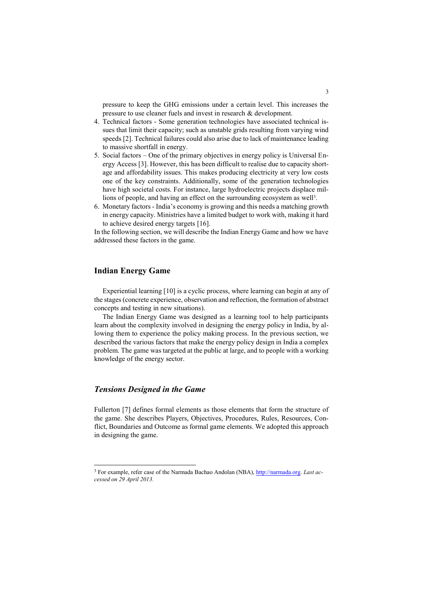pressure to keep the GHG emissions under a certain level. This increases the pressure to use cleaner fuels and invest in research & development.

- 4. Technical factors Some generation technologies have associated technical issues that limit their capacity; such as unstable grids resulting from varying wind speeds [2]. Technical failures could also arise due to lack of maintenance leading to massive shortfall in energy.
- 5. Social factors One of the primary objectives in energy policy is Universal Energy Access [3]. However, this has been difficult to realise due to capacity shortage and affordability issues. This makes producing electricity at very low costs one of the key constraints. Additionally, some of the generation technologies have high societal costs. For instance, large hydroelectric projects displace millions of people, and having an effect on the surrounding ecosystem as well<sup>3</sup>.
- 6. Monetary factors India's economy is growing and this needs a matching growth in energy capacity. Ministries have a limited budget to work with, making it hard to achieve desired energy targets [16].

In the following section, we will describe the Indian Energy Game and how we have addressed these factors in the game.

# **Indian Energy Game**

Experiential learning [10] is a cyclic process, where learning can begin at any of the stages (concrete experience, observation and reflection, the formation of abstract concepts and testing in new situations).

The Indian Energy Game was designed as a learning tool to help participants learn about the complexity involved in designing the energy policy in India, by allowing them to experience the policy making process. In the previous section, we described the various factors that make the energy policy design in India a complex problem. The game was targeted at the public at large, and to people with a working knowledge of the energy sector.

#### *Tensions Designed in the Game*

-

Fullerton [7] defines formal elements as those elements that form the structure of the game. She describes Players, Objectives, Procedures, Rules, Resources, Conflict, Boundaries and Outcome as formal game elements. We adopted this approach in designing the game.

<sup>3</sup> For example, refer case of the Narmada Bachao Andolan (NBA), [http://narmada.org.](http://narmada.org/) *Last accessed on 29 April 2013.*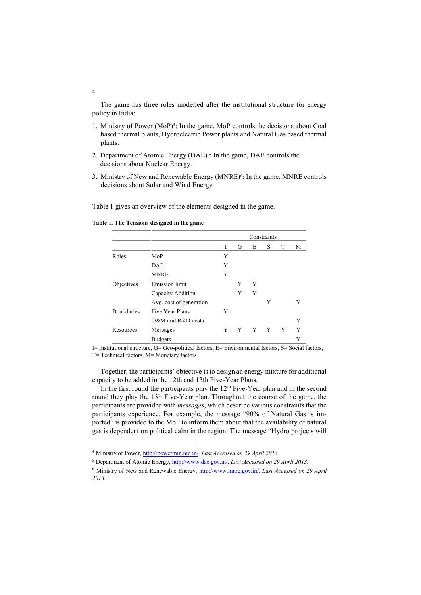The game has three roles modelled after the institutional structure for energy policy in India:

- 1. Ministry of Power (MoP)<sup>4</sup>: In the game, MoP controls the decisions about Coal based thermal plants, Hydroelectric Power plants and Natural Gas based thermal plants.
- 2. Department of Atomic Energy (DAE)<sup>5</sup>: In the game, DAE controls the decisions about Nuclear Energy.
- 3. Ministry of New and Renewable Energy (MNRE)<sup>6</sup>: In the game, MNRE controls decisions about Solar and Wind Energy.

Table 1 gives an overview of the elements designed in the game.

|                   |                         | Constraints |   |   |   |   |   |
|-------------------|-------------------------|-------------|---|---|---|---|---|
|                   |                         | I           | G | Е | S | T | М |
| Roles             | MoP                     | Y           |   |   |   |   |   |
|                   | <b>DAE</b>              | Y           |   |   |   |   |   |
|                   | <b>MNRE</b>             | Y           |   |   |   |   |   |
| Objectives        | <b>Emission</b> limit   |             | Y | Y |   |   |   |
|                   | Capacity Addition       |             | Y | Y |   |   |   |
|                   | Avg. cost of generation |             |   |   | Y |   |   |
| <b>Boundaries</b> | Five Year Plans         | Y           |   |   |   |   |   |
|                   | O&M and R&D costs       |             |   |   |   |   | Y |
| Resources         | Messages                | Y           | Y | Y | Y | Y | Y |
|                   | <b>Budgets</b>          |             |   |   |   |   | Y |

**Table 1. The Tensions designed in the game**

I= Institutional structure, G= Geo-political factors, E= Environmental factors, S= Social factors, T= Technical factors, M= Monetary factors

Together, the participants' objective is to design an energy mixture for additional capacity to be added in the 12th and 13th Five-Year Plans.

In the first round the participants play the  $12<sup>th</sup>$  Five-Year plan and in the second round they play the 13<sup>th</sup> Five-Year plan. Throughout the course of the game, the participants are provided with *messages*, which describe various constraints that the participants experience. For example, the message "90% of Natural Gas is imported" is provided to the MoP to inform them about that the availability of natural gas is dependent on political calm in the region. The message "Hydro projects will

4

-

<sup>4</sup> Ministry of Power, [http://powermin.nic.in/.](http://powermin.nic.in/) *Last Accessed on 29 April 2013.*

<sup>5</sup> Department of Atomic Energy[, http://www.dae.gov.in/.](http://www.dae.gov.in/) *Last Accessed on 29 April 2013.*

<sup>6</sup> Ministry of New and Renewable Energy, [http://www.mnre.gov.in/.](http://www.mnre.gov.in/) *Last Accessed on 29 April 2013.*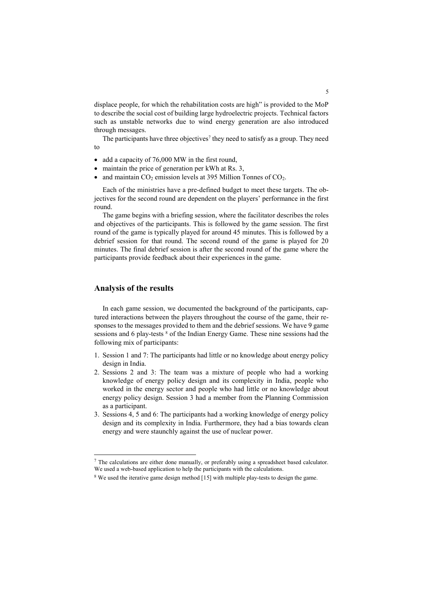displace people, for which the rehabilitation costs are high" is provided to the MoP to describe the social cost of building large hydroelectric projects. Technical factors such as unstable networks due to wind energy generation are also introduced through messages.

The participants have three objectives<sup>7</sup> they need to satisfy as a group. They need to

- add a capacity of  $76,000$  MW in the first round,
- maintain the price of generation per kWh at Rs. 3,
- and maintain  $CO<sub>2</sub>$  emission levels at 395 Million Tonnes of  $CO<sub>2</sub>$ .

Each of the ministries have a pre-defined budget to meet these targets. The objectives for the second round are dependent on the players' performance in the first round.

The game begins with a briefing session, where the facilitator describes the roles and objectives of the participants. This is followed by the game session. The first round of the game is typically played for around 45 minutes. This is followed by a debrief session for that round. The second round of the game is played for 20 minutes. The final debrief session is after the second round of the game where the participants provide feedback about their experiences in the game.

#### **Analysis of the results**

-

In each game session, we documented the background of the participants, captured interactions between the players throughout the course of the game, their responses to the messages provided to them and the debrief sessions. We have 9 game sessions and 6 play-tests  $8$  of the Indian Energy Game. These nine sessions had the following mix of participants:

- 1. Session 1 and 7: The participants had little or no knowledge about energy policy design in India.
- 2. Sessions 2 and 3: The team was a mixture of people who had a working knowledge of energy policy design and its complexity in India, people who worked in the energy sector and people who had little or no knowledge about energy policy design. Session 3 had a member from the Planning Commission as a participant.
- 3. Sessions 4, 5 and 6: The participants had a working knowledge of energy policy design and its complexity in India. Furthermore, they had a bias towards clean energy and were staunchly against the use of nuclear power.

 $<sup>7</sup>$  The calculations are either done manually, or preferably using a spreadsheet based calculator.</sup> We used a web-based application to help the participants with the calculations.

<sup>&</sup>lt;sup>8</sup> We used the iterative game design method [15] with multiple play-tests to design the game.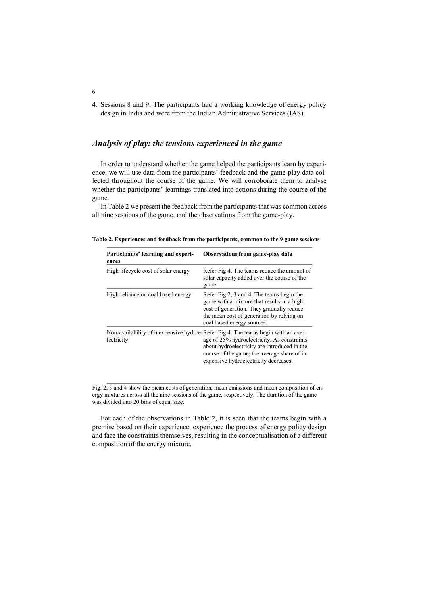4. Sessions 8 and 9: The participants had a working knowledge of energy policy design in India and were from the Indian Administrative Services (IAS).

# *Analysis of play: the tensions experienced in the game*

In order to understand whether the game helped the participants learn by experience, we will use data from the participants' feedback and the game-play data collected throughout the course of the game. We will corroborate them to analyse whether the participants' learnings translated into actions during the course of the game.

In Table 2 we present the feedback from the participants that was common across all nine sessions of the game, and the observations from the game-play.

| Participants' learning and experi-<br>ences | Observations from game-play data                                                                                                                                                                                                                                          |
|---------------------------------------------|---------------------------------------------------------------------------------------------------------------------------------------------------------------------------------------------------------------------------------------------------------------------------|
| High lifecycle cost of solar energy         | Refer Fig 4. The teams reduce the amount of<br>solar capacity added over the course of the<br>game.                                                                                                                                                                       |
| High reliance on coal based energy          | Refer Fig 2, 3 and 4. The teams begin the<br>game with a mixture that results in a high<br>cost of generation. They gradually reduce<br>the mean cost of generation by relying on<br>coal based energy sources.                                                           |
| lectricity                                  | Non-availability of inexpensive hydroe-Refer Fig 4. The teams begin with an aver-<br>age of 25% hydroelectricity. As constraints<br>about hydroelectricity are introduced in the<br>course of the game, the average share of in-<br>expensive hydroelectricity decreases. |

**Table 2. Experiences and feedback from the participants, common to the 9 game sessions**

Fig. 2, 3 and 4 show the mean costs of generation, mean emissions and mean composition of energy mixtures across all the nine sessions of the game, respectively. The duration of the game was divided into 20 bins of equal size.

For each of the observations in Table 2, it is seen that the teams begin with a premise based on their experience, experience the process of energy policy design and face the constraints themselves, resulting in the conceptualisation of a different composition of the energy mixture.

6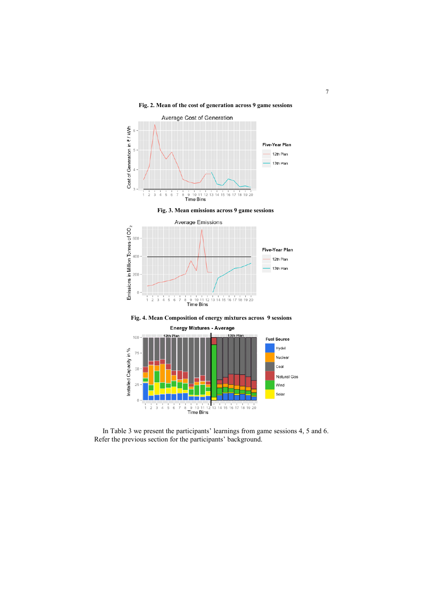#### **Fig. 2. Mean of the cost of generation across 9 game sessions**



**Fig. 3. Mean emissions across 9 game sessions**



**Fig. 4. Mean Composition of energy mixtures across 9 sessions**



In Table 3 we present the participants' learnings from game sessions 4, 5 and 6. Refer the previous section for the participants' background.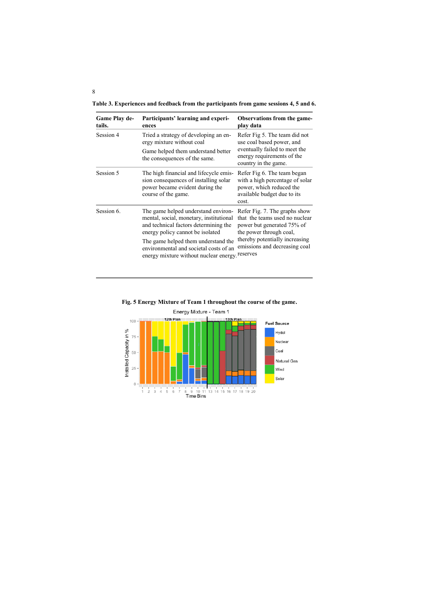**Table 3. Experiences and feedback from the participants from game sessions 4, 5 and 6.**

| Game Play de-<br>tails. | Participants' learning and experi-<br>ences                                                                                                                                                                                                                                            | <b>Observations from the game-</b><br>play data                                                                                                                                                         |  |  |
|-------------------------|----------------------------------------------------------------------------------------------------------------------------------------------------------------------------------------------------------------------------------------------------------------------------------------|---------------------------------------------------------------------------------------------------------------------------------------------------------------------------------------------------------|--|--|
| Session 4               | Tried a strategy of developing an en-<br>ergy mixture without coal<br>Game helped them understand better<br>the consequences of the same.                                                                                                                                              | Refer Fig 5. The team did not<br>use coal based power, and<br>eventually failed to meet the<br>energy requirements of the<br>country in the game.                                                       |  |  |
| Session 5               | The high financial and lifecycle emis-<br>sion consequences of installing solar<br>power became evident during the<br>course of the game.                                                                                                                                              | Refer Fig 6. The team began<br>with a high percentage of solar<br>power, which reduced the<br>available budget due to its<br>cost.                                                                      |  |  |
| Session 6.              | The game helped understand environ-<br>mental, social, monetary, institutional<br>and technical factors determining the<br>energy policy cannot be isolated<br>The game helped them understand the<br>environmental and societal costs of an<br>energy mixture without nuclear energy. | Refer Fig. 7. The graphs show<br>that the teams used no nuclear<br>power but generated 75% of<br>the power through coal,<br>thereby potentially increasing<br>emissions and decreasing coal<br>reserves |  |  |



**Fig. 5 Energy Mixture of Team 1 throughout the course of the game.**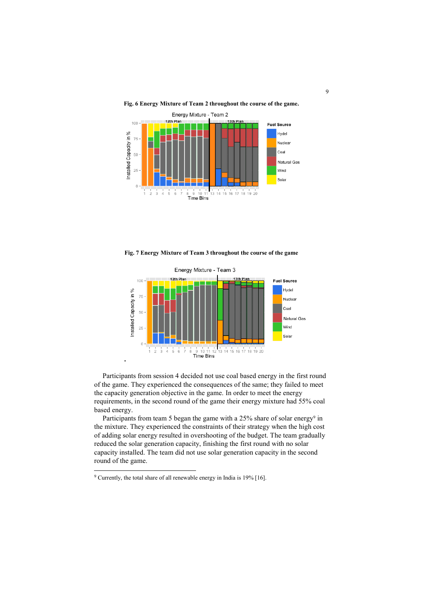

**Fig. 6 Energy Mixture of Team 2 throughout the course of the game.**

**Fig. 7 Energy Mixture of Team 3 throughout the course of the game**



Participants from session 4 decided not use coal based energy in the first round of the game. They experienced the consequences of the same; they failed to meet the capacity generation objective in the game. In order to meet the energy requirements, in the second round of the game their energy mixture had 55% coal based energy.

Participants from team 5 began the game with a 25% share of solar energy<sup>9</sup> in the mixture. They experienced the constraints of their strategy when the high cost of adding solar energy resulted in overshooting of the budget. The team gradually reduced the solar generation capacity, finishing the first round with no solar capacity installed. The team did not use solar generation capacity in the second round of the game.

-

<sup>9</sup> Currently, the total share of all renewable energy in India is 19% [16].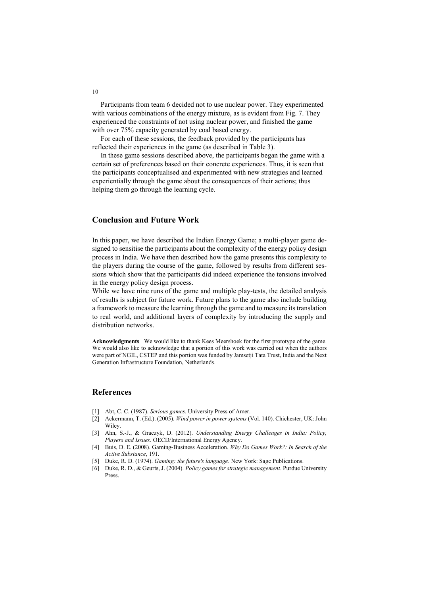Participants from team 6 decided not to use nuclear power. They experimented with various combinations of the energy mixture, as is evident from Fig. 7. They experienced the constraints of not using nuclear power, and finished the game with over 75% capacity generated by coal based energy.

For each of these sessions, the feedback provided by the participants has reflected their experiences in the game (as described in Table 3).

In these game sessions described above, the participants began the game with a certain set of preferences based on their concrete experiences. Thus, it is seen that the participants conceptualised and experimented with new strategies and learned experientially through the game about the consequences of their actions; thus helping them go through the learning cycle.

## **Conclusion and Future Work**

In this paper, we have described the Indian Energy Game; a multi-player game designed to sensitise the participants about the complexity of the energy policy design process in India. We have then described how the game presents this complexity to the players during the course of the game, followed by results from different sessions which show that the participants did indeed experience the tensions involved in the energy policy design process.

While we have nine runs of the game and multiple play-tests, the detailed analysis of results is subject for future work. Future plans to the game also include building a framework to measure the learning through the game and to measure its translation to real world, and additional layers of complexity by introducing the supply and distribution networks.

**Acknowledgments** We would like to thank Kees Meershoek for the first prototype of the game. We would also like to acknowledge that a portion of this work was carried out when the authors were part of NGIL, CSTEP and this portion was funded by Jamsetji Tata Trust, India and the Next Generation Infrastructure Foundation, Netherlands.

#### **References**

- [1] Abt, C. C. (1987). *Serious games*. University Press of Amer.
- [2] Ackermann, T. (Ed.). (2005). *Wind power in power systems* (Vol. 140). Chichester, UK: John Wiley.
- [3] Ahn, S.-J., & Graczyk, D. (2012). *Understanding Energy Challenges in India: Policy, Players and Issues.* OECD/International Energy Agency.
- [4] Buis, D. E. (2008). Gaming-Business Acceleration. *Why Do Games Work?: In Search of the Active Substance*, 191.
- [5] Duke, R. D. (1974). *Gaming: the future's language*. New York: Sage Publications.
- [6] Duke, R. D., & Geurts, J. (2004). *Policy games for strategic management*. Purdue University Press.